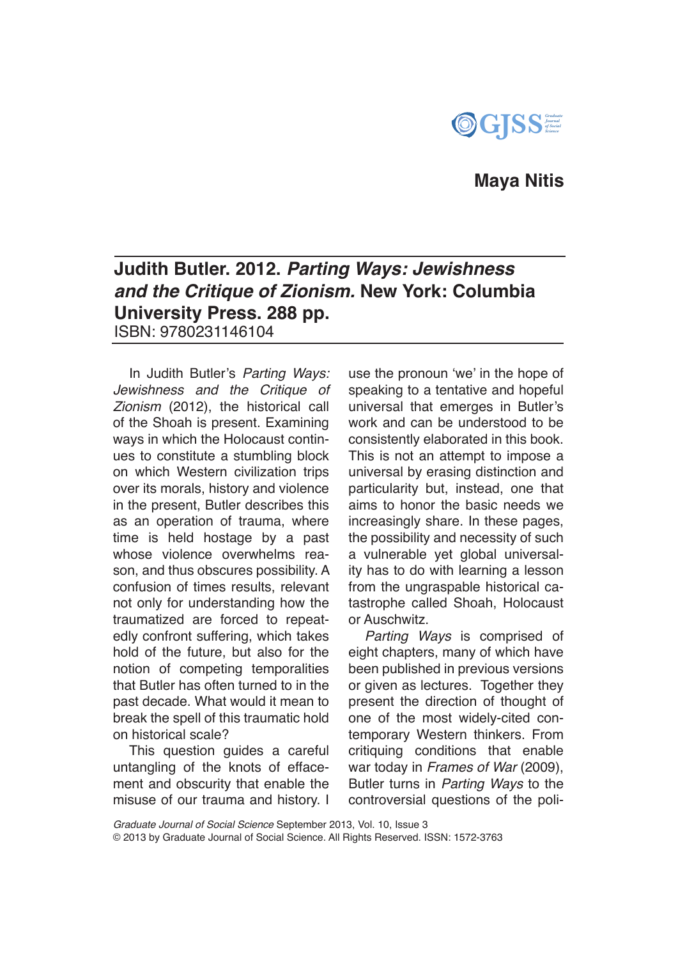

## **Maya Nitis**

# **Judith Butler. 2012.** *Parting Ways: Jewishness and the Critique of Zionism.* **New York: Columbia University Press. 288 pp.**  ISBN: 9780231146104

In Judith Butler's *Parting Ways: Jewishness and the Critique of Zionism* (2012), the historical call of the Shoah is present. Examining ways in which the Holocaust continues to constitute a stumbling block on which Western civilization trips over its morals, history and violence in the present, Butler describes this as an operation of trauma, where time is held hostage by a past whose violence overwhelms reason, and thus obscures possibility. A confusion of times results, relevant not only for understanding how the traumatized are forced to repeatedly confront suffering, which takes hold of the future, but also for the notion of competing temporalities that Butler has often turned to in the past decade. What would it mean to break the spell of this traumatic hold on historical scale?

This question guides a careful untangling of the knots of effacement and obscurity that enable the misuse of our trauma and history. I

use the pronoun 'we' in the hope of speaking to a tentative and hopeful universal that emerges in Butler's work and can be understood to be consistently elaborated in this book. This is not an attempt to impose a universal by erasing distinction and particularity but, instead, one that aims to honor the basic needs we increasingly share. In these pages, the possibility and necessity of such a vulnerable yet global universality has to do with learning a lesson from the ungraspable historical catastrophe called Shoah, Holocaust or Auschwitz.

*Parting Ways* is comprised of eight chapters, many of which have been published in previous versions or given as lectures. Together they present the direction of thought of one of the most widely-cited contemporary Western thinkers. From critiquing conditions that enable war today in *Frames of War* (2009), Butler turns in *Parting Ways* to the controversial questions of the poli-

*Graduate Journal of Social Science* September 2013, Vol. 10, Issue 3

© 2013 by Graduate Journal of Social Science. All Rights Reserved. ISSN: 1572-3763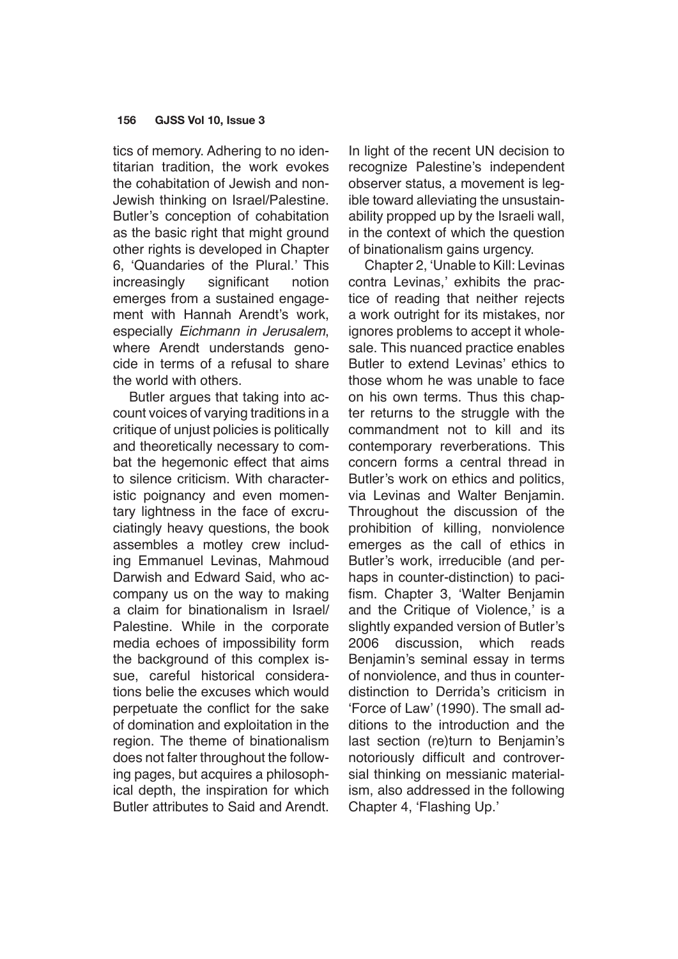#### **156 GJSS Vol 10, Issue 3**

tics of memory. Adhering to no identitarian tradition, the work evokes the cohabitation of Jewish and non-Jewish thinking on Israel/Palestine. Butler's conception of cohabitation as the basic right that might ground other rights is developed in Chapter 6, 'Quandaries of the Plural.' This increasingly significant notion emerges from a sustained engagement with Hannah Arendt's work, especially *Eichmann in Jerusalem*, where Arendt understands genocide in terms of a refusal to share the world with others.

Butler argues that taking into account voices of varying traditions in a critique of unjust policies is politically and theoretically necessary to combat the hegemonic effect that aims to silence criticism. With characteristic poignancy and even momentary lightness in the face of excruciatingly heavy questions, the book assembles a motley crew including Emmanuel Levinas, Mahmoud Darwish and Edward Said, who accompany us on the way to making a claim for binationalism in Israel/ Palestine. While in the corporate media echoes of impossibility form the background of this complex issue, careful historical considerations belie the excuses which would perpetuate the conflict for the sake of domination and exploitation in the region. The theme of binationalism does not falter throughout the following pages, but acquires a philosophical depth, the inspiration for which Butler attributes to Said and Arendt.

In light of the recent UN decision to recognize Palestine's independent observer status, a movement is legible toward alleviating the unsustainability propped up by the Israeli wall, in the context of which the question of binationalism gains urgency.

Chapter 2, 'Unable to Kill: Levinas contra Levinas,' exhibits the practice of reading that neither rejects a work outright for its mistakes, nor ignores problems to accept it wholesale. This nuanced practice enables Butler to extend Levinas' ethics to those whom he was unable to face on his own terms. Thus this chapter returns to the struggle with the commandment not to kill and its contemporary reverberations. This concern forms a central thread in Butler's work on ethics and politics, via Levinas and Walter Benjamin. Throughout the discussion of the prohibition of killing, nonviolence emerges as the call of ethics in Butler's work, irreducible (and perhaps in counter-distinction) to pacifism. Chapter 3, 'Walter Benjamin and the Critique of Violence,' is a slightly expanded version of Butler's 2006 discussion, which reads Benjamin's seminal essay in terms of nonviolence, and thus in counterdistinction to Derrida's criticism in 'Force of Law' (1990). The small additions to the introduction and the last section (re)turn to Benjamin's notoriously difficult and controversial thinking on messianic materialism, also addressed in the following Chapter 4, 'Flashing Up.'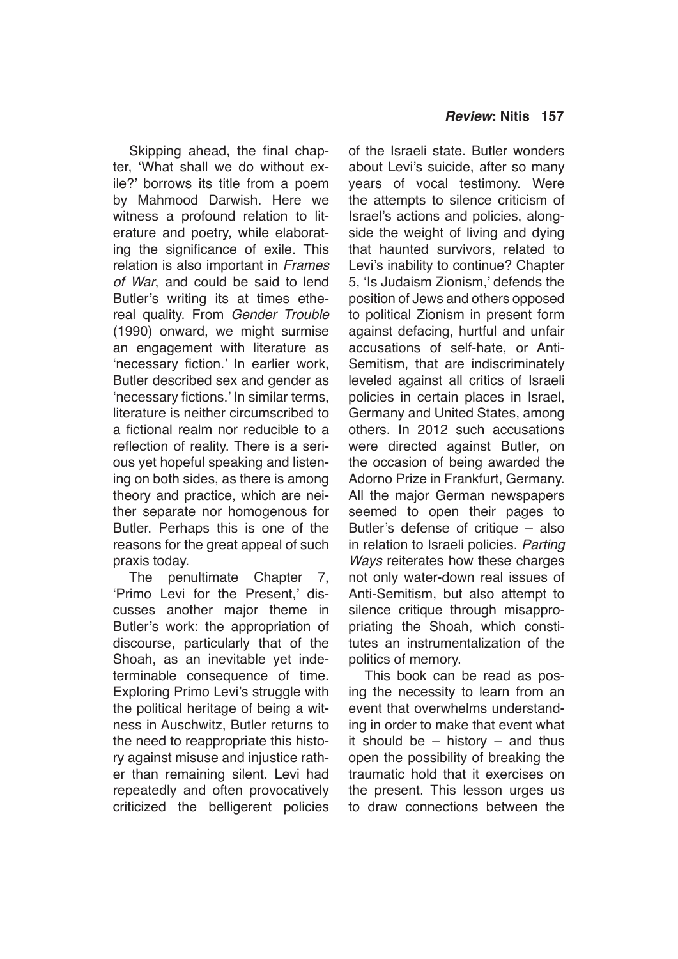Skipping ahead, the final chapter, 'What shall we do without exile?' borrows its title from a poem by Mahmood Darwish. Here we witness a profound relation to literature and poetry, while elaborating the significance of exile. This relation is also important in *Frames of War*, and could be said to lend Butler's writing its at times ethereal quality. From *Gender Trouble* (1990) onward, we might surmise an engagement with literature as 'necessary fiction.' In earlier work, Butler described sex and gender as 'necessary fictions.' In similar terms, literature is neither circumscribed to a fictional realm nor reducible to a reflection of reality. There is a serious yet hopeful speaking and listening on both sides, as there is among theory and practice, which are neither separate nor homogenous for Butler. Perhaps this is one of the reasons for the great appeal of such praxis today.

The penultimate Chapter 7, 'Primo Levi for the Present,' discusses another major theme in Butler's work: the appropriation of discourse, particularly that of the Shoah, as an inevitable yet indeterminable consequence of time. Exploring Primo Levi's struggle with the political heritage of being a witness in Auschwitz, Butler returns to the need to reappropriate this history against misuse and injustice rather than remaining silent. Levi had repeatedly and often provocatively criticized the belligerent policies of the Israeli state. Butler wonders about Levi's suicide, after so many years of vocal testimony. Were the attempts to silence criticism of Israel's actions and policies, alongside the weight of living and dying that haunted survivors, related to Levi's inability to continue? Chapter 5, 'Is Judaism Zionism,' defends the position of Jews and others opposed to political Zionism in present form against defacing, hurtful and unfair accusations of self-hate, or Anti-Semitism, that are indiscriminately leveled against all critics of Israeli policies in certain places in Israel, Germany and United States, among others. In 2012 such accusations were directed against Butler, on the occasion of being awarded the Adorno Prize in Frankfurt, Germany. All the major German newspapers seemed to open their pages to Butler's defense of critique – also in relation to Israeli policies. *Parting Ways* reiterates how these charges not only water-down real issues of Anti-Semitism, but also attempt to silence critique through misappropriating the Shoah, which constitutes an instrumentalization of the politics of memory.

This book can be read as posing the necessity to learn from an event that overwhelms understanding in order to make that event what it should be  $-$  history  $-$  and thus open the possibility of breaking the traumatic hold that it exercises on the present. This lesson urges us to draw connections between the